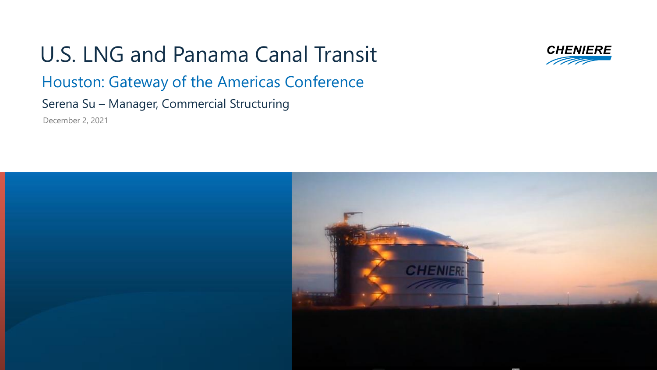U.S. LNG and Panama Canal Transit Houston: Gateway of the Americas Conference Serena Su – Manager, Commercial Structuring December 2, 2021



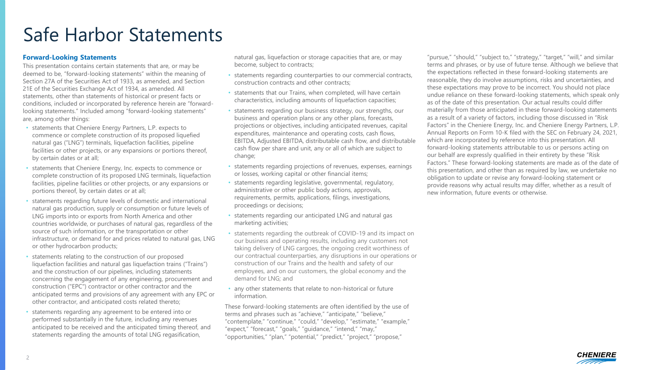#### Safe Harbor Statements

#### **Forward-Looking Statements**

This presentation contains certain statements that are, or may be deemed to be, "forward-looking statements" within the meaning of Section 27A of the Securities Act of 1933, as amended, and Section 21E of the Securities Exchange Act of 1934, as amended. All statements, other than statements of historical or present facts or conditions, included or incorporated by reference herein are "forwardlooking statements." Included among "forward-looking statements" are, among other things:

- statements that Cheniere Energy Partners, L.P. expects to commence or complete construction of its proposed liquefied natural gas ("LNG") terminals, liquefaction facilities, pipeline facilities or other projects, or any expansions or portions thereof, by certain dates or at all;
- statements that Cheniere Energy, Inc. expects to commence or complete construction of its proposed LNG terminals, liquefaction facilities, pipeline facilities or other projects, or any expansions or portions thereof, by certain dates or at all;
- statements regarding future levels of domestic and international natural gas production, supply or consumption or future levels of LNG imports into or exports from North America and other countries worldwide, or purchases of natural gas, regardless of the source of such information, or the transportation or other infrastructure, or demand for and prices related to natural gas, LNG or other hydrocarbon products;
- statements relating to the construction of our proposed liquefaction facilities and natural gas liquefaction trains ("Trains") and the construction of our pipelines, including statements concerning the engagement of any engineering, procurement and construction ("EPC") contractor or other contractor and the anticipated terms and provisions of any agreement with any EPC or other contractor, and anticipated costs related thereto;
- statements regarding any agreement to be entered into or performed substantially in the future, including any revenues anticipated to be received and the anticipated timing thereof, and statements regarding the amounts of total LNG regasification,

natural gas, liquefaction or storage capacities that are, or may become, subject to contracts;

- statements regarding counterparties to our commercial contracts, construction contracts and other contracts;
- statements that our Trains, when completed, will have certain characteristics, including amounts of liquefaction capacities;
- statements regarding our business strategy, our strengths, our business and operation plans or any other plans, forecasts, projections or objectives, including anticipated revenues, capital expenditures, maintenance and operating costs, cash flows, EBITDA, Adjusted EBITDA, distributable cash flow, and distributable cash flow per share and unit, any or all of which are subject to change;
- statements regarding projections of revenues, expenses, earnings or losses, working capital or other financial items;
- statements regarding legislative, governmental, regulatory, administrative or other public body actions, approvals, requirements, permits, applications, filings, investigations, proceedings or decisions;
- statements regarding our anticipated LNG and natural gas marketing activities;
- statements regarding the outbreak of COVID-19 and its impact on our business and operating results, including any customers not taking delivery of LNG cargoes, the ongoing credit worthiness of our contractual counterparties, any disruptions in our operations or construction of our Trains and the health and safety of our employees, and on our customers, the global economy and the demand for LNG; and
- any other statements that relate to non-historical or future information.

These forward-looking statements are often identified by the use of terms and phrases such as "achieve," "anticipate," "believe," "contemplate," "continue," "could," "develop," "estimate," "example," "expect," "forecast," "goals," "guidance," "intend," "may," "opportunities," "plan," "potential," "predict," "project," "propose,"

"pursue," "should," "subject to," "strategy," "target," "will," and similar terms and phrases, or by use of future tense. Although we believe that the expectations reflected in these forward-looking statements are reasonable, they do involve assumptions, risks and uncertainties, and these expectations may prove to be incorrect. You should not place undue reliance on these forward-looking statements, which speak only as of the date of this presentation. Our actual results could differ materially from those anticipated in these forward-looking statements as a result of a variety of factors, including those discussed in "Risk Factors" in the Cheniere Energy, Inc. and Cheniere Energy Partners, L.P. Annual Reports on Form 10-K filed with the SEC on February 24, 2021, which are incorporated by reference into this presentation. All forward-looking statements attributable to us or persons acting on our behalf are expressly qualified in their entirety by these "Risk Factors." These forward-looking statements are made as of the date of this presentation, and other than as required by law, we undertake no obligation to update or revise any forward-looking statement or provide reasons why actual results may differ, whether as a result of new information, future events or otherwise.

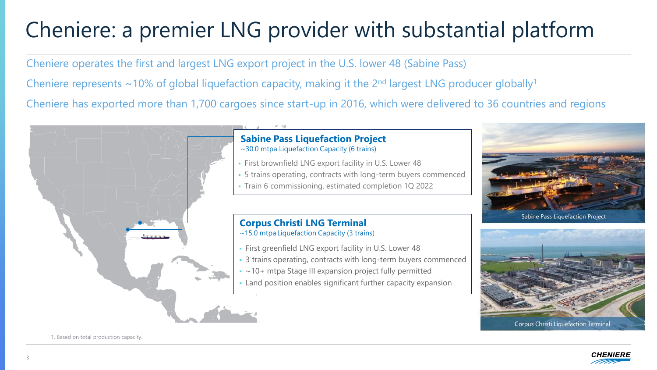## Cheniere: a premier LNG provider with substantial platform

Cheniere operates the first and largest LNG export project in the U.S. lower 48 (Sabine Pass) Cheniere represents  $\sim$ 10% of global liquefaction capacity, making it the 2<sup>nd</sup> largest LNG producer globally<sup>1</sup> Cheniere has exported more than 1,700 cargoes since start-up in 2016, which were delivered to 36 countries and regions





1. Based on total production capacity.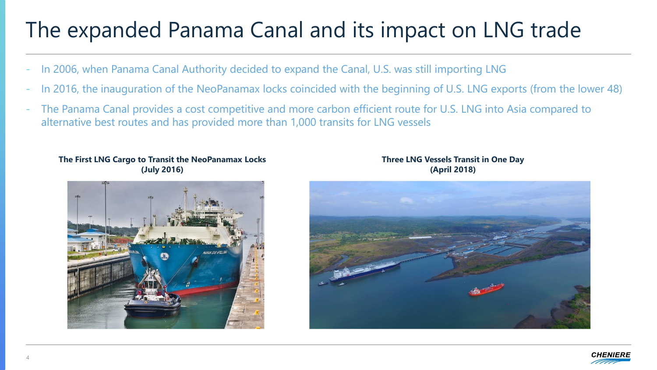## The expanded Panama Canal and its impact on LNG trade

- In 2006, when Panama Canal Authority decided to expand the Canal, U.S. was still importing LNG
- In 2016, the inauguration of the NeoPanamax locks coincided with the beginning of U.S. LNG exports (from the lower 48)
- The Panama Canal provides a cost competitive and more carbon efficient route for U.S. LNG into Asia compared to alternative best routes and has provided more than 1,000 transits for LNG vessels



#### **The First LNG Cargo to Transit the NeoPanamax Locks (July 2016)**



#### **Three LNG Vessels Transit in One Day (April 2018)**

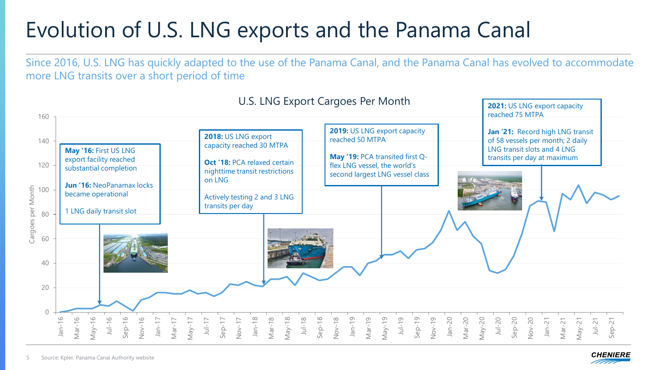## Evolution of U.S. LNG exports and the Panama Canal

Since 2016, U.S. LNG has quickly adapted to the use of the Panama Canal, and the Panama Canal has evolved to accommodate more LNG transits over a short period of time

| 160                     | U.S. LNG Export Cargoes Per Month                                                                                                    |                                                                                                                                                             |                                                                                                                                                       | 2021: US LNG export capacity<br>reached 75 MTPA                                                                                      |
|-------------------------|--------------------------------------------------------------------------------------------------------------------------------------|-------------------------------------------------------------------------------------------------------------------------------------------------------------|-------------------------------------------------------------------------------------------------------------------------------------------------------|--------------------------------------------------------------------------------------------------------------------------------------|
| 140<br>120<br>100       | May '16: First US LNG<br>export facility reached<br>substantial completion<br><b>Jun '16: NeoPanamax locks</b><br>became operational | 2018: US LNG export<br>capacity reached 30 MTPA<br>Oct '18: PCA relaxed certain<br>nighttime transit restrictions<br>on LNG<br>Actively testing 2 and 3 LNG | 2019: US LNG export capacity<br>reached 50 MTPA<br>May '19: PCA transited first Q-<br>flex LNG vessel, the world's<br>second largest LNG vessel class | Jan '21: Record high LNG transit<br>of 58 vessels per month; 2 daily<br>LNG transit slots and 4 LNG<br>transits per day at maximum   |
| Cargoes per Month<br>80 | LNG daily transit slot                                                                                                               | transits per day                                                                                                                                            |                                                                                                                                                       |                                                                                                                                      |
| 60<br>40                |                                                                                                                                      |                                                                                                                                                             |                                                                                                                                                       |                                                                                                                                      |
| 20                      |                                                                                                                                      |                                                                                                                                                             |                                                                                                                                                       |                                                                                                                                      |
| $\bigcap$               | $\circlearrowright$<br>G<br>$\circ$<br>$Sep-1$<br>$Nov-1$<br>$Jul-1$<br>$JaD$ -<br>Nar-<br>nan<br>Nar<br>VeW                         | $May-18$<br>$Jul-18$<br>$Jan-18$<br>Mar-18<br>$Sep-17$<br>$Nov-17$<br>$Jul-1$<br>May-                                                                       | $Sep-18$<br>$Nov-18$<br>$Jul-19$<br>Nov-19<br>$Jan-20$<br>$Jan-19$<br>$Mar-19$<br>$May-19$<br>$Sep-19$                                                | Mar-20<br>$May-20$<br>$Jul-20$<br>$Sep-20$<br>$Nov-20$<br>$Jan-21$<br>$Mar-21$<br>$Jul-21$<br>$\overline{S}$<br>$\sim$<br>VeW<br>Sep |

5

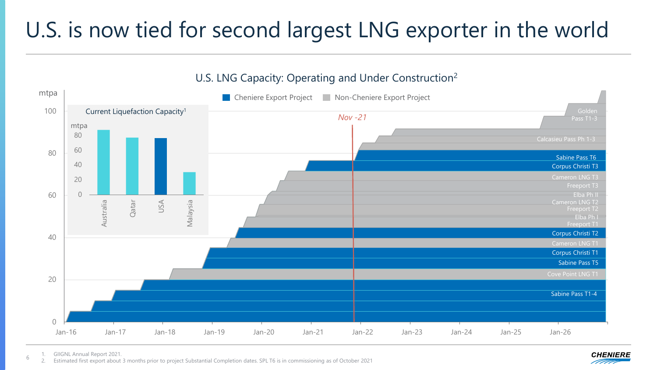## U.S. is now tied for second largest LNG exporter in the world

U.S. LNG Capacity: Operating and Under Construction<sup>2</sup>



6 1. GIIGNL Annual Report 2021.

2. Estimated first export about 3 months prior to project Substantial Completion dates. SPL T6 is in commissioning as of October 2021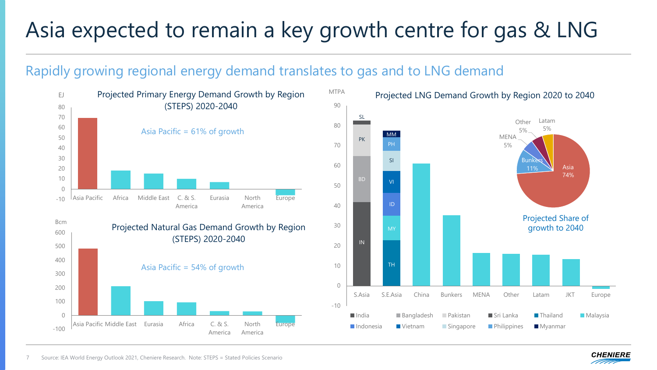## Asia expected to remain a key growth centre for gas & LNG

#### Rapidly growing regional energy demand translates to gas and to LNG demand



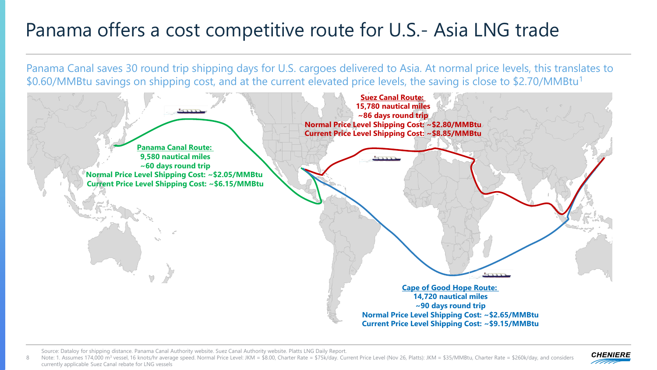#### Panama offers a cost competitive route for U.S.- Asia LNG trade

Panama Canal saves 30 round trip shipping days for U.S. cargoes delivered to Asia. At normal price levels, this translates to \$0.60/MMBtu savings on shipping cost, and at the current elevated price levels, the saving is close to \$2.70/MMBtu<sup>1</sup>



Source: Dataloy for shipping distance. Panama Canal Authority website. Suez Canal Authority website. Platts LNG Daily Report.

Note: 1. Assumes 174,000 m<sup>3</sup> vessel, 16 knots/hr average speed. Normal Price Level: JKM = \$8.00, Charter Rate = \$75k/day. Current Price Level (Nov 26, Platts): JKM = \$35/MMBtu, Charter Rate = \$260k/day, and considers currently applicable Suez Canal rebate for LNG vessels 8

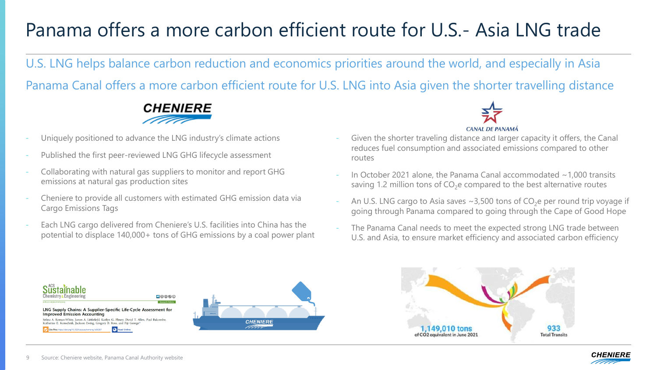#### Panama offers a more carbon efficient route for U.S.- Asia LNG trade

U.S. LNG helps balance carbon reduction and economics priorities around the world, and especially in Asia

Panama Canal offers a more carbon efficient route for U.S. LNG into Asia given the shorter travelling distance



- Uniquely positioned to advance the LNG industry's climate actions
- Published the first peer-reviewed LNG GHG lifecycle assessment
- Collaborating with natural gas suppliers to monitor and report GHG emissions at natural gas production sites
- Cheniere to provide all customers with estimated GHG emission data via Cargo Emissions Tags
- Each LNG cargo delivered from Cheniere's U.S. facilities into China has the potential to displace 140,000+ tons of GHG emissions by a coal power plant



- Given the shorter traveling distance and larger capacity it offers, the Canal reduces fuel consumption and associated emissions compared to other routes
- In October 2021 alone, the Panama Canal accommodated  $\sim$  1,000 transits saving 1.2 million tons of  $CO<sub>2</sub>e$  compared to the best alternative routes
- An U.S. LNG cargo to Asia saves  $\sim$ 3,500 tons of CO<sub>2</sub>e per round trip voyage if going through Panama compared to going through the Cape of Good Hope
- The Panama Canal needs to meet the expected strong LNG trade between U.S. and Asia, to ensure market efficiency and associated carbon efficiency